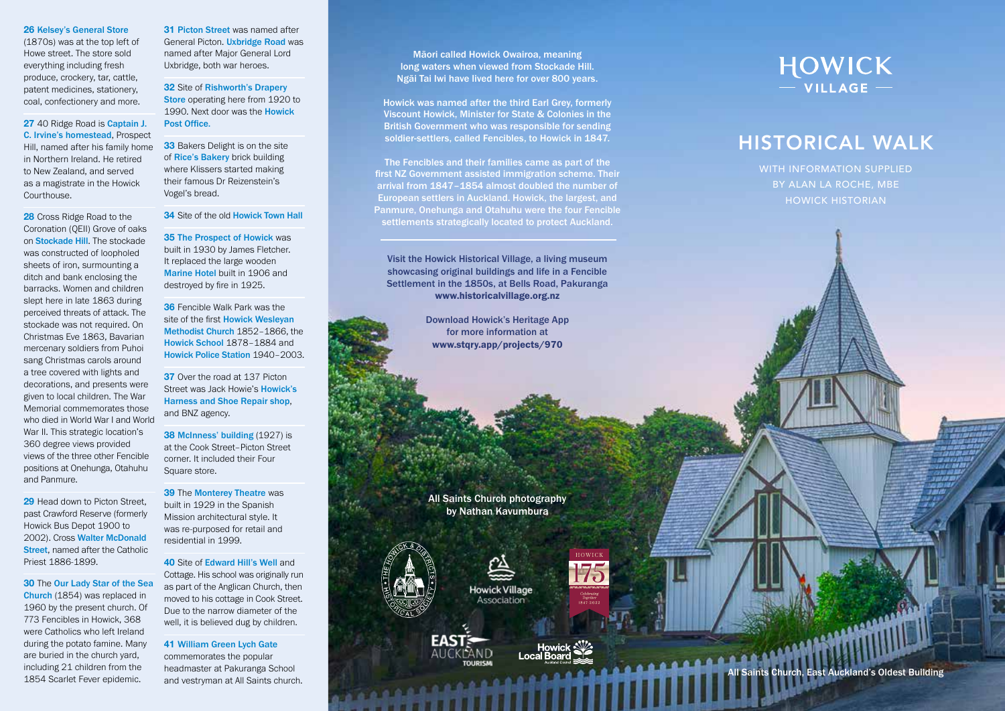### **26** Kelsey's General Store

(1870s) was at the top left of Howe street. The store sold everything including fresh produce, crockery, tar, cattle, patent medicines, stationery, coal, confectionery and more.

**27** 40 Ridge Road is Captain J. C. Irvine's homestead, Prospect Hill, named after his family home in Northern Ireland. He retired to New Zealand, and served as a magistrate in the Howick Courthouse.

**28** Cross Ridge Road to the Coronation (QEII) Grove of oaks on Stockade Hill. The stockade was constructed of loopholed sheets of iron, surmounting a ditch and bank enclosing the barracks. Women and children slept here in late 1863 during perceived threats of attack. The stockade was not required. On Christmas Eve 1863, Bavarian mercenary soldiers from Puhoi sang Christmas carols around a tree covered with lights and decorations, and presents were given to local children. The War Memorial commemorates those who died in World War I and World War II. This strategic location's 360 degree views provided views of the three other Fencible positions at Onehunga, Otahuhu and Panmure.

**29** Head down to Picton Street. past Crawford Reserve (formerly Howick Bus Depot 1900 to 2002). Cross Walter McDonald Street, named after the Catholic Priest 1886-1899.

**30** The Our Lady Star of the Sea Church (1854) was replaced in 1960 by the present church. Of 773 Fencibles in Howick, 368 were Catholics who left Ireland during the potato famine. Many are buried in the church yard, including 21 children from the 1854 Scarlet Fever epidemic.

**31** Picton Street was named after General Picton. Uxbridge Road was named after Major General Lord Uxbridge, both war heroes.

**32** Site of Rishworth's Drapery Store operating here from 1920 to 1990. Next door was the Howick Post Office.

**33** Bakers Delight is on the site of Rice's Bakery brick building where Klissers started making their famous Dr Reizenstein's Vogel's bread.

**34** Site of the old Howick Town Hall

**35** The Prospect of Howick was built in 1930 by James Fletcher. It replaced the large wooden Marine Hotel built in 1906 and destroyed by fire in 1925.

**36** Fencible Walk Park was the site of the first Howick Wesleyan Methodist Church 1852–1866, the Howick School 1878–1884 and Howick Police Station 1940–2003.

**37** Over the road at 137 Picton Street was Jack Howie's Howick's Harness and Shoe Repair shop, and BNZ agency.

**38 McInness' building (1927) is** at the Cook Street–Picton Street corner. It included their Four Square store.

**39** The Monterey Theatre was built in 1929 in the Spanish Mission architectural style. It was re-purposed for retail and residential in 1999.

**40** Site of Edward Hill's Well and Cottage. His school was originally run as part of the Anglican Church, then moved to his cottage in Cook Street. Due to the narrow diameter of the well, it is believed dug by children.

**41** William Green Lych Gate commemorates the popular headmaster at Pakuranga School and vestryman at All Saints church.

Māori called Howick Owairoa, meaning long waters when viewed from Stockade Hill. Ngāi Tai Iwi have lived here for over 800 years.

Howick was named after the third Earl Grey, formerly Viscount Howick, Minister for State & Colonies in the British Government who was responsible for sending soldier-settlers, called Fencibles, to Howick in 1847.

The Fencibles and their families came as part of the first NZ Government assisted immigration scheme. Their arrival from 1847–1854 almost doubled the number of European settlers in Auckland. Howick, the largest, and Panmure, Onehunga and Otahuhu were the four Fencible settlements strategically located to protect Auckland.

Visit the Howick Historical Village, a living museum showcasing original buildings and life in a Fencible Settlement in the 1850s, at Bells Road, Pakuranga www.historicalvillage.org.nz

> Download Howick's Heritage App for more information at www.stqry.app/projects/970

All Saints Church photography by Nathan Kavumbura



<u> Alexandri Hitler</u>

*<u>Pressil</u>* 

**Howick Village** Association







# HISTORICAL WALK

WITH INFORMATION SUPPLIED BY ALAN LA ROCHE, MBE HOWICK HISTORIAN

All Saints Church, East Auckland's Oldest Building